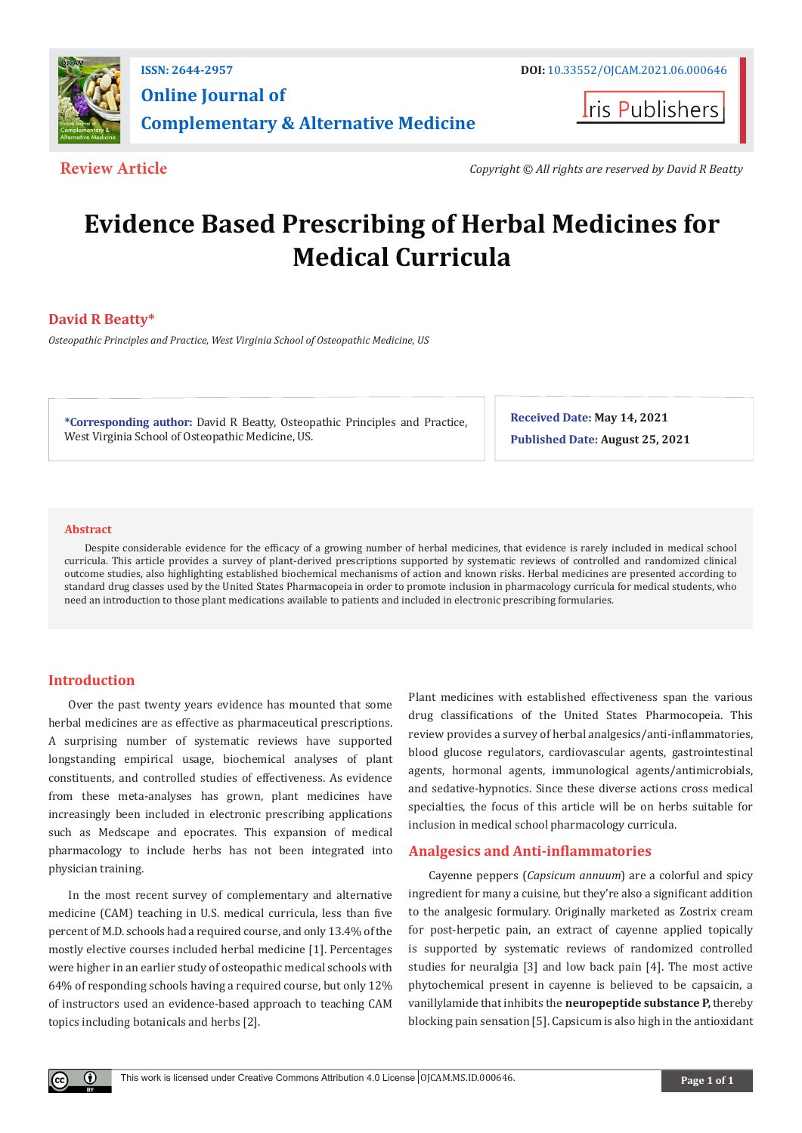

# **Online Journal of Complementary & Alternative Medicine**

**Iris Publishers** 

**Review Article** *Copyright © All rights are reserved by David R Beatty*

# **Evidence Based Prescribing of Herbal Medicines for Medical Curricula**

# **David R Beatty\***

*Osteopathic Principles and Practice, West Virginia School of Osteopathic Medicine, US*

**\*Corresponding author:** David R Beatty, Osteopathic Principles and Practice, West Virginia School of Osteopathic Medicine, US.

**Received Date: May 14, 2021 Published Date: August 25, 2021**

#### **Abstract**

Despite considerable evidence for the efficacy of a growing number of herbal medicines, that evidence is rarely included in medical school curricula. This article provides a survey of plant-derived prescriptions supported by systematic reviews of controlled and randomized clinical outcome studies, also highlighting established biochemical mechanisms of action and known risks. Herbal medicines are presented according to standard drug classes used by the United States Pharmacopeia in order to promote inclusion in pharmacology curricula for medical students, who need an introduction to those plant medications available to patients and included in electronic prescribing formularies.

# **Introduction**

 $\bf{0}$ 

Over the past twenty years evidence has mounted that some herbal medicines are as effective as pharmaceutical prescriptions. A surprising number of systematic reviews have supported longstanding empirical usage, biochemical analyses of plant constituents, and controlled studies of effectiveness. As evidence from these meta-analyses has grown, plant medicines have increasingly been included in electronic prescribing applications such as Medscape and epocrates. This expansion of medical pharmacology to include herbs has not been integrated into physician training.

In the most recent survey of complementary and alternative medicine (CAM) teaching in U.S. medical curricula, less than five percent of M.D. schools had a required course, and only 13.4% of the mostly elective courses included herbal medicine [1]. Percentages were higher in an earlier study of osteopathic medical schools with 64% of responding schools having a required course, but only 12% of instructors used an evidence-based approach to teaching CAM topics including botanicals and herbs [2].

Plant medicines with established effectiveness span the various drug classifications of the United States Pharmocopeia. This review provides a survey of herbal analgesics/anti-inflammatories, blood glucose regulators, cardiovascular agents, gastrointestinal agents, hormonal agents, immunological agents/antimicrobials, and sedative-hypnotics. Since these diverse actions cross medical specialties, the focus of this article will be on herbs suitable for inclusion in medical school pharmacology curricula.

# **Analgesics and Anti-inflammatories**

Cayenne peppers (*Capsicum annuum*) are a colorful and spicy ingredient for many a cuisine, but they're also a significant addition to the analgesic formulary. Originally marketed as Zostrix cream for post-herpetic pain, an extract of cayenne applied topically is supported by systematic reviews of randomized controlled studies for neuralgia [3] and low back pain [4]. The most active phytochemical present in cayenne is believed to be capsaicin, a vanillylamide that inhibits the **neuropeptide substance P,** thereby blocking pain sensation [5]. Capsicum is also high in the antioxidant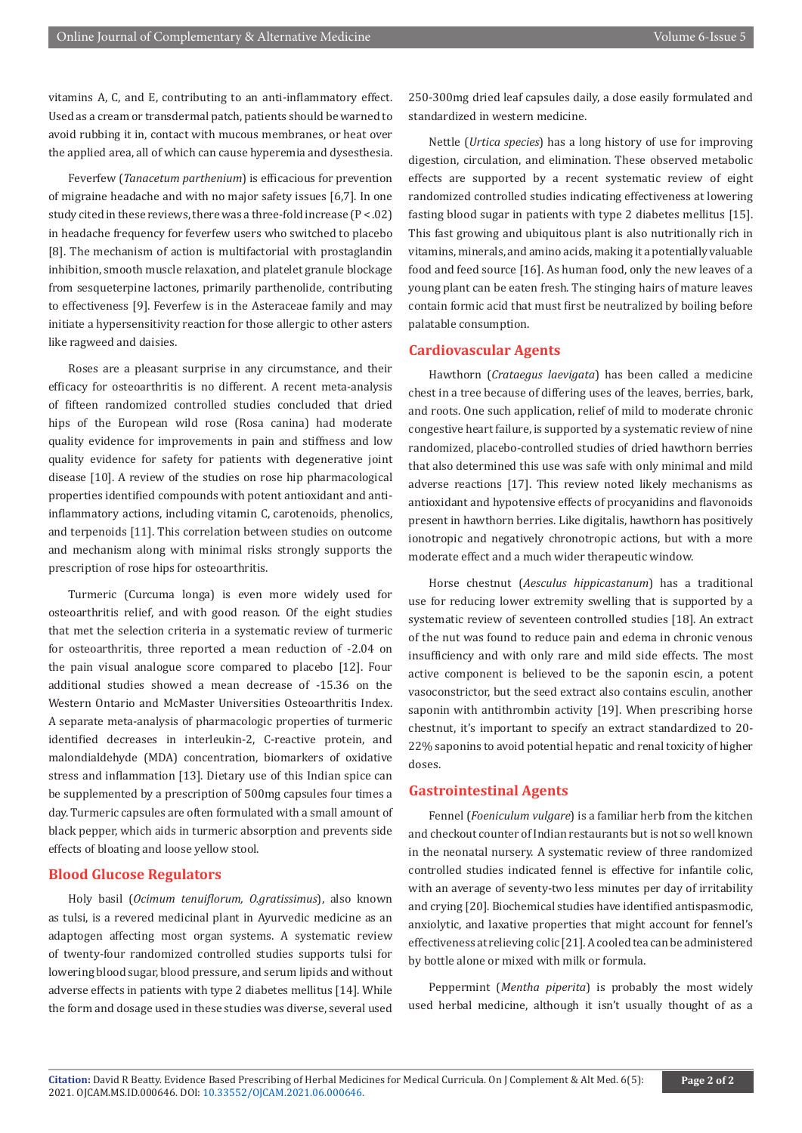vitamins A, C, and E, contributing to an anti-inflammatory effect. Used as a cream or transdermal patch, patients should be warned to avoid rubbing it in, contact with mucous membranes, or heat over the applied area, all of which can cause hyperemia and dysesthesia.

Feverfew (*Tanacetum parthenium*) is efficacious for prevention of migraine headache and with no major safety issues [6,7]. In one study cited in these reviews, there was a three-fold increase (P < .02) in headache frequency for feverfew users who switched to placebo [8]. The mechanism of action is multifactorial with prostaglandin inhibition, smooth muscle relaxation, and platelet granule blockage from sesqueterpine lactones, primarily parthenolide, contributing to effectiveness [9]. Feverfew is in the Asteraceae family and may initiate a hypersensitivity reaction for those allergic to other asters like ragweed and daisies.

Roses are a pleasant surprise in any circumstance, and their efficacy for osteoarthritis is no different. A recent meta-analysis of fifteen randomized controlled studies concluded that dried hips of the European wild rose (Rosa canina) had moderate quality evidence for improvements in pain and stiffness and low quality evidence for safety for patients with degenerative joint disease [10]. A review of the studies on rose hip pharmacological properties identified compounds with potent antioxidant and antiinflammatory actions, including vitamin C, carotenoids, phenolics, and terpenoids [11]. This correlation between studies on outcome and mechanism along with minimal risks strongly supports the prescription of rose hips for osteoarthritis.

Turmeric (Curcuma longa) is even more widely used for osteoarthritis relief, and with good reason. Of the eight studies that met the selection criteria in a systematic review of turmeric for osteoarthritis, three reported a mean reduction of -2.04 on the pain visual analogue score compared to placebo [12]. Four additional studies showed a mean decrease of -15.36 on the Western Ontario and McMaster Universities Osteoarthritis Index. A separate meta-analysis of pharmacologic properties of turmeric identified decreases in interleukin-2, C-reactive protein, and malondialdehyde (MDA) concentration, biomarkers of oxidative stress and inflammation [13]. Dietary use of this Indian spice can be supplemented by a prescription of 500mg capsules four times a day. Turmeric capsules are often formulated with a small amount of black pepper, which aids in turmeric absorption and prevents side effects of bloating and loose yellow stool.

# **Blood Glucose Regulators**

Holy basil (*Ocimum tenuiflorum, O.gratissimus*), also known as tulsi, is a revered medicinal plant in Ayurvedic medicine as an adaptogen affecting most organ systems. A systematic review of twenty-four randomized controlled studies supports tulsi for lowering blood sugar, blood pressure, and serum lipids and without adverse effects in patients with type 2 diabetes mellitus [14]. While the form and dosage used in these studies was diverse, several used

250-300mg dried leaf capsules daily, a dose easily formulated and standardized in western medicine.

Nettle (*Urtica species*) has a long history of use for improving digestion, circulation, and elimination. These observed metabolic effects are supported by a recent systematic review of eight randomized controlled studies indicating effectiveness at lowering fasting blood sugar in patients with type 2 diabetes mellitus [15]. This fast growing and ubiquitous plant is also nutritionally rich in vitamins, minerals, and amino acids, making it a potentially valuable food and feed source [16]. As human food, only the new leaves of a young plant can be eaten fresh. The stinging hairs of mature leaves contain formic acid that must first be neutralized by boiling before palatable consumption.

### **Cardiovascular Agents**

Hawthorn (*Crataegus laevigata*) has been called a medicine chest in a tree because of differing uses of the leaves, berries, bark, and roots. One such application, relief of mild to moderate chronic congestive heart failure, is supported by a systematic review of nine randomized, placebo-controlled studies of dried hawthorn berries that also determined this use was safe with only minimal and mild adverse reactions [17]. This review noted likely mechanisms as antioxidant and hypotensive effects of procyanidins and flavonoids present in hawthorn berries. Like digitalis, hawthorn has positively ionotropic and negatively chronotropic actions, but with a more moderate effect and a much wider therapeutic window.

Horse chestnut (*Aesculus hippicastanum*) has a traditional use for reducing lower extremity swelling that is supported by a systematic review of seventeen controlled studies [18]. An extract of the nut was found to reduce pain and edema in chronic venous insufficiency and with only rare and mild side effects. The most active component is believed to be the saponin escin, a potent vasoconstrictor, but the seed extract also contains esculin, another saponin with antithrombin activity [19]. When prescribing horse chestnut, it's important to specify an extract standardized to 20- 22% saponins to avoid potential hepatic and renal toxicity of higher doses.

#### **Gastrointestinal Agents**

Fennel (*Foeniculum vulgare*) is a familiar herb from the kitchen and checkout counter of Indian restaurants but is not so well known in the neonatal nursery. A systematic review of three randomized controlled studies indicated fennel is effective for infantile colic, with an average of seventy-two less minutes per day of irritability and crying [20]. Biochemical studies have identified antispasmodic, anxiolytic, and laxative properties that might account for fennel's effectiveness at relieving colic [21]. A cooled tea can be administered by bottle alone or mixed with milk or formula.

Peppermint (*Mentha piperita*) is probably the most widely used herbal medicine, although it isn't usually thought of as a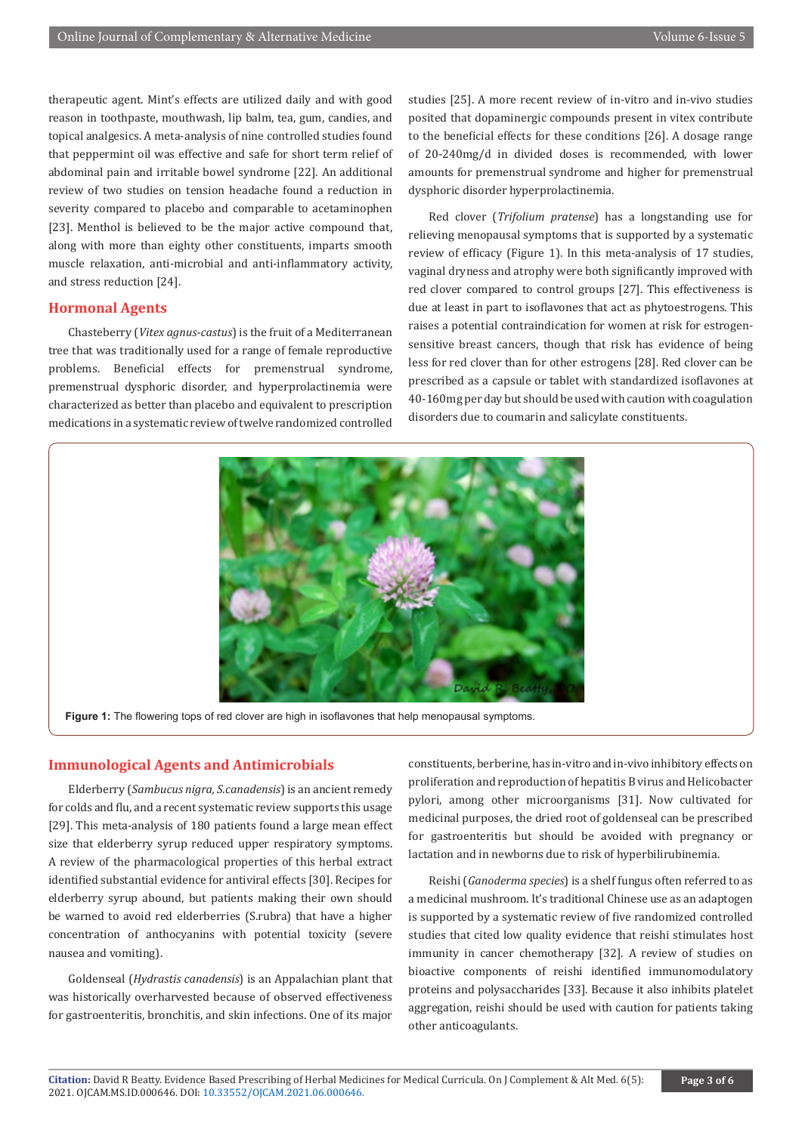therapeutic agent. Mint's effects are utilized daily and with good reason in toothpaste, mouthwash, lip balm, tea, gum, candies, and topical analgesics. A meta-analysis of nine controlled studies found that peppermint oil was effective and safe for short term relief of abdominal pain and irritable bowel syndrome [22]. An additional review of two studies on tension headache found a reduction in severity compared to placebo and comparable to acetaminophen [23]. Menthol is believed to be the major active compound that, along with more than eighty other constituents, imparts smooth muscle relaxation, anti-microbial and anti-inflammatory activity, and stress reduction [24].

## **Hormonal Agents**

Chasteberry (*Vitex agnus-castus*) is the fruit of a Mediterranean tree that was traditionally used for a range of female reproductive problems. Beneficial effects for premenstrual syndrome, premenstrual dysphoric disorder, and hyperprolactinemia were characterized as better than placebo and equivalent to prescription medications in a systematic review of twelve randomized controlled studies [25]. A more recent review of in-vitro and in-vivo studies posited that dopaminergic compounds present in vitex contribute to the beneficial effects for these conditions [26]. A dosage range of 20-240mg/d in divided doses is recommended, with lower amounts for premenstrual syndrome and higher for premenstrual dysphoric disorder hyperprolactinemia.

Red clover (*Trifolium pratense*) has a longstanding use for relieving menopausal symptoms that is supported by a systematic review of efficacy (Figure 1). In this meta-analysis of 17 studies, vaginal dryness and atrophy were both significantly improved with red clover compared to control groups [27]. This effectiveness is due at least in part to isoflavones that act as phytoestrogens. This raises a potential contraindication for women at risk for estrogensensitive breast cancers, though that risk has evidence of being less for red clover than for other estrogens [28]. Red clover can be prescribed as a capsule or tablet with standardized isoflavones at 40-160mg per day but should be used with caution with coagulation disorders due to coumarin and salicylate constituents.



**Figure 1:** The flowering tops of red clover are high in isoflavones that help menopausal symptoms.

### **Immunological Agents and Antimicrobials**

Elderberry (*Sambucus nigra, S.canadensis*) is an ancient remedy for colds and flu, and a recent systematic review supports this usage [29]. This meta-analysis of 180 patients found a large mean effect size that elderberry syrup reduced upper respiratory symptoms. A review of the pharmacological properties of this herbal extract identified substantial evidence for antiviral effects [30]. Recipes for elderberry syrup abound, but patients making their own should be warned to avoid red elderberries (S.rubra) that have a higher concentration of anthocyanins with potential toxicity (severe nausea and vomiting).

Goldenseal (*Hydrastis canadensis*) is an Appalachian plant that was historically overharvested because of observed effectiveness for gastroenteritis, bronchitis, and skin infections. One of its major

constituents, berberine, has in-vitro and in-vivo inhibitory effects on proliferation and reproduction of hepatitis B virus and Helicobacter pylori, among other microorganisms [31]. Now cultivated for medicinal purposes, the dried root of goldenseal can be prescribed for gastroenteritis but should be avoided with pregnancy or lactation and in newborns due to risk of hyperbilirubinemia.

Reishi (*Ganoderma species*) is a shelf fungus often referred to as a medicinal mushroom. It's traditional Chinese use as an adaptogen is supported by a systematic review of five randomized controlled studies that cited low quality evidence that reishi stimulates host immunity in cancer chemotherapy [32]. A review of studies on bioactive components of reishi identified immunomodulatory proteins and polysaccharides [33]. Because it also inhibits platelet aggregation, reishi should be used with caution for patients taking other anticoagulants.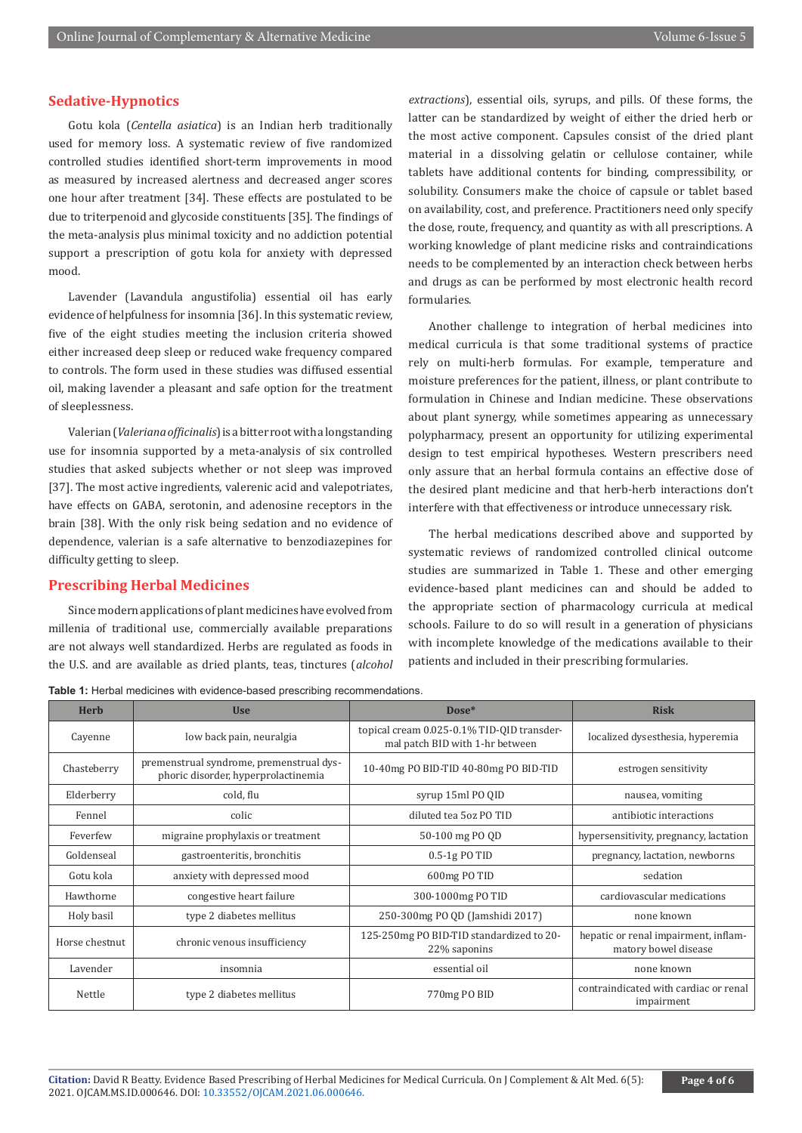### **Sedative-Hypnotics**

Gotu kola (*Centella asiatica*) is an Indian herb traditionally used for memory loss. A systematic review of five randomized controlled studies identified short-term improvements in mood as measured by increased alertness and decreased anger scores one hour after treatment [34]. These effects are postulated to be due to triterpenoid and glycoside constituents [35]. The findings of the meta-analysis plus minimal toxicity and no addiction potential support a prescription of gotu kola for anxiety with depressed mood.

Lavender (Lavandula angustifolia) essential oil has early evidence of helpfulness for insomnia [36]. In this systematic review, five of the eight studies meeting the inclusion criteria showed either increased deep sleep or reduced wake frequency compared to controls. The form used in these studies was diffused essential oil, making lavender a pleasant and safe option for the treatment of sleeplessness.

Valerian (*Valeriana officinalis*) is a bitter root with a longstanding use for insomnia supported by a meta-analysis of six controlled studies that asked subjects whether or not sleep was improved [37]. The most active ingredients, valerenic acid and valepotriates, have effects on GABA, serotonin, and adenosine receptors in the brain [38]. With the only risk being sedation and no evidence of dependence, valerian is a safe alternative to benzodiazepines for difficulty getting to sleep.

# **Prescribing Herbal Medicines**

Since modern applications of plant medicines have evolved from millenia of traditional use, commercially available preparations are not always well standardized. Herbs are regulated as foods in the U.S. and are available as dried plants, teas, tinctures (*alcohol*  *extractions*), essential oils, syrups, and pills. Of these forms, the latter can be standardized by weight of either the dried herb or the most active component. Capsules consist of the dried plant material in a dissolving gelatin or cellulose container, while tablets have additional contents for binding, compressibility, or solubility. Consumers make the choice of capsule or tablet based on availability, cost, and preference. Practitioners need only specify the dose, route, frequency, and quantity as with all prescriptions. A working knowledge of plant medicine risks and contraindications needs to be complemented by an interaction check between herbs and drugs as can be performed by most electronic health record formularies.

Another challenge to integration of herbal medicines into medical curricula is that some traditional systems of practice rely on multi-herb formulas. For example, temperature and moisture preferences for the patient, illness, or plant contribute to formulation in Chinese and Indian medicine. These observations about plant synergy, while sometimes appearing as unnecessary polypharmacy, present an opportunity for utilizing experimental design to test empirical hypotheses. Western prescribers need only assure that an herbal formula contains an effective dose of the desired plant medicine and that herb-herb interactions don't interfere with that effectiveness or introduce unnecessary risk.

The herbal medications described above and supported by systematic reviews of randomized controlled clinical outcome studies are summarized in Table 1. These and other emerging evidence-based plant medicines can and should be added to the appropriate section of pharmacology curricula at medical schools. Failure to do so will result in a generation of physicians with incomplete knowledge of the medications available to their patients and included in their prescribing formularies.

| <b>Table 1:</b> Herbal medicines with evidence-based prescribing recommendations. |
|-----------------------------------------------------------------------------------|
|-----------------------------------------------------------------------------------|

| <b>Herb</b>    | <b>Use</b>                                                                      | $Dose*$                                                                       | <b>Risk</b>                                                  |  |  |
|----------------|---------------------------------------------------------------------------------|-------------------------------------------------------------------------------|--------------------------------------------------------------|--|--|
| Cayenne        | low back pain, neuralgia                                                        | topical cream 0.025-0.1% TID-QID transder-<br>mal patch BID with 1-hr between | localized dysesthesia, hyperemia                             |  |  |
| Chasteberry    | premenstrual syndrome, premenstrual dys-<br>phoric disorder, hyperprolactinemia | 10-40mg PO BID-TID 40-80mg PO BID-TID                                         | estrogen sensitivity                                         |  |  |
| Elderberry     | cold, flu                                                                       | syrup 15ml PO QID                                                             | nausea, vomiting                                             |  |  |
| Fennel         | colic                                                                           | diluted tea 5oz PO TID                                                        | antibiotic interactions                                      |  |  |
| Feverfew       | migraine prophylaxis or treatment                                               | 50-100 mg PO QD                                                               | hypersensitivity, pregnancy, lactation                       |  |  |
| Goldenseal     | gastroenteritis, bronchitis                                                     | $0.5-1g$ PO TID                                                               | pregnancy, lactation, newborns                               |  |  |
| Gotu kola      | anxiety with depressed mood                                                     | 600mg PO TID                                                                  | sedation                                                     |  |  |
| Hawthorne      | congestive heart failure                                                        | 300-1000mg PO TID                                                             | cardiovascular medications                                   |  |  |
| Holy basil     | type 2 diabetes mellitus                                                        | 250-300mg PO QD (Jamshidi 2017)                                               | none known                                                   |  |  |
| Horse chestnut | chronic venous insufficiency                                                    | 125-250mg PO BID-TID standardized to 20-<br>22% saponins                      | hepatic or renal impairment, inflam-<br>matory bowel disease |  |  |
| Lavender       | insomnia                                                                        | essential oil                                                                 | none known                                                   |  |  |
| Nettle         | type 2 diabetes mellitus                                                        | 770mg PO BID                                                                  | contraindicated with cardiac or renal<br>impairment          |  |  |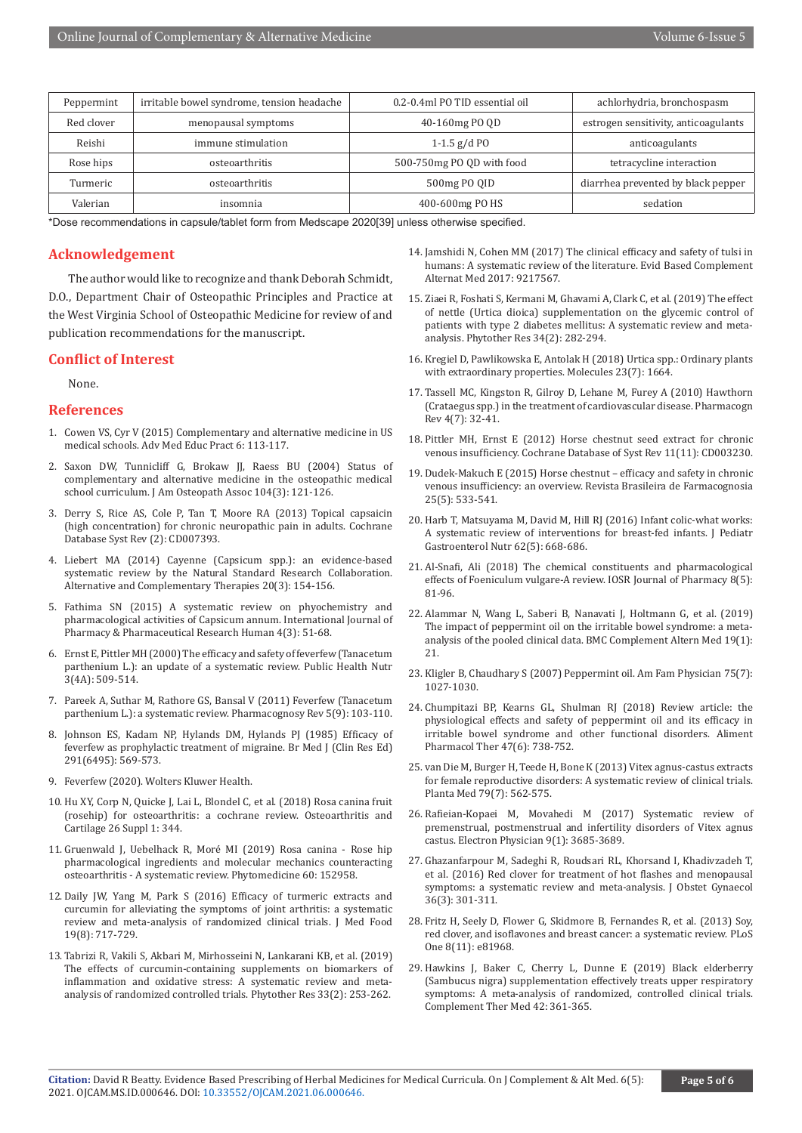| Peppermint | irritable bowel syndrome, tension headache | 0.2-0.4ml PO TID essential oil | achlorhydria, bronchospasm           |
|------------|--------------------------------------------|--------------------------------|--------------------------------------|
| Red clover | menopausal symptoms                        | 40-160mg PO OD                 | estrogen sensitivity, anticoagulants |
| Reishi     | immune stimulation                         | 1-1.5 $g/dP$                   | anticoagulants                       |
| Rose hips  | osteoarthritis                             | 500-750mg PO OD with food      | tetracycline interaction             |
| Turmeric   | osteoarthritis                             | 500mg PO OID                   | diarrhea prevented by black pepper   |
| Valerian   | insomnia                                   | 400-600mg PO HS                | sedation                             |

\*Dose recommendations in capsule/tablet form from Medscape 2020[39] unless otherwise specified.

#### **Acknowledgement**

The author would like to recognize and thank Deborah Schmidt, D.O., Department Chair of Osteopathic Principles and Practice at the West Virginia School of Osteopathic Medicine for review of and publication recommendations for the manuscript.

### **Conflict of Interest**

None.

#### **References**

- 1. [Cowen VS, Cyr V \(2015\) Complementary and alternative medicine in US](https://pubmed.ncbi.nlm.nih.gov/25709517/)  [medical schools. Adv Med Educ Pract 6: 113-117.](https://pubmed.ncbi.nlm.nih.gov/25709517/)
- 2. [Saxon DW, Tunnicliff G, Brokaw JJ, Raess BU \(2004\) Status of](https://pubmed.ncbi.nlm.nih.gov/15083987/)  [complementary and alternative medicine in the osteopathic medical](https://pubmed.ncbi.nlm.nih.gov/15083987/)  [school curriculum. J Am Osteopath Assoc 104\(3\): 121-126.](https://pubmed.ncbi.nlm.nih.gov/15083987/)
- 3. [Derry S, Rice AS, Cole P, Tan T, Moore RA \(2013\) Topical capsaicin](https://pubmed.ncbi.nlm.nih.gov/23450576/)  [\(high concentration\) for chronic neuropathic pain in adults. Cochrane](https://pubmed.ncbi.nlm.nih.gov/23450576/)  [Database Syst Rev \(2\): CD007393.](https://pubmed.ncbi.nlm.nih.gov/23450576/)
- 4. Liebert MA (2014) Cayenne (Capsicum spp.): an evidence-based systematic review by the Natural Standard Research Collaboration. Alternative and Complementary Therapies 20(3): 154-156.
- 5. Fathima SN (2015) A systematic review on phyochemistry and pharmacological activities of Capsicum annum. International Journal of Pharmacy & Pharmaceutical Research Human 4(3): 51-68.
- 6. Ernst E, Pittler MH (2000) The efficacy and safety of feverfew (Tanacetum parthenium L.): an update of a systematic review. Public Health Nutr 3(4A): 509-514.
- 7. [Pareek A, Suthar M, Rathore GS, Bansal V \(2011\) Feverfew \(Tanacetum](https://pubmed.ncbi.nlm.nih.gov/22096324/)  [parthenium L.\): a systematic review. Pharmacognosy Rev 5\(9\): 103-110.](https://pubmed.ncbi.nlm.nih.gov/22096324/)
- 8. [Johnson ES, Kadam NP, Hylands DM, Hylands PJ \(1985\) Efficacy of](https://pubmed.ncbi.nlm.nih.gov/3929876/)  [feverfew as prophylactic treatment of migraine. Br Med J \(Clin Res Ed\)](https://pubmed.ncbi.nlm.nih.gov/3929876/)  [291\(6495\): 569-573.](https://pubmed.ncbi.nlm.nih.gov/3929876/)
- 9. [Feverfew \(2020\). Wolters Kluwer Health.](https://www.drugs.com/npp/feverfew.html)
- 10. Hu XY, Corp N, Quicke J, Lai L, Blondel C, et al. (2018) Rosa canina fruit (rosehip) for osteoarthritis: a cochrane review. Osteoarthritis and Cartilage 26 Suppl 1: 344.
- 11. [Gruenwald J, Uebelhack R, Moré MI \(2019\) Rosa canina Rose hip](https://pubmed.ncbi.nlm.nih.gov/31138475/)  [pharmacological ingredients and molecular mechanics counteracting](https://pubmed.ncbi.nlm.nih.gov/31138475/)  [osteoarthritis - A systematic review. Phytomedicine 60: 152958.](https://pubmed.ncbi.nlm.nih.gov/31138475/)
- 12. [Daily JW, Yang M, Park S \(2016\) Efficacy of turmeric extracts and](https://pubmed.ncbi.nlm.nih.gov/27533649/)  [curcumin for alleviating the symptoms of joint arthritis: a systematic](https://pubmed.ncbi.nlm.nih.gov/27533649/)  [review and meta-analysis of randomized clinical trials. J Med Food](https://pubmed.ncbi.nlm.nih.gov/27533649/)  [19\(8\): 717-729.](https://pubmed.ncbi.nlm.nih.gov/27533649/)
- 13. [Tabrizi R, Vakili S, Akbari M, Mirhosseini N, Lankarani KB, et al. \(2019\)](https://pubmed.ncbi.nlm.nih.gov/30402990/)  [The effects of curcumin-containing supplements on biomarkers of](https://pubmed.ncbi.nlm.nih.gov/30402990/)  [inflammation and oxidative stress: A systematic review and meta](https://pubmed.ncbi.nlm.nih.gov/30402990/)[analysis of randomized controlled trials. Phytother Res 33\(2\): 253-262.](https://pubmed.ncbi.nlm.nih.gov/30402990/)
- 14. [Jamshidi N, Cohen MM \(2017\) The clinical efficacy and safety of tulsi in](https://pubmed.ncbi.nlm.nih.gov/28400848/) [humans: A systematic review of the literature. Evid Based Complement](https://pubmed.ncbi.nlm.nih.gov/28400848/) [Alternat Med 2017: 9217567.](https://pubmed.ncbi.nlm.nih.gov/28400848/)
- 15. [Ziaei R, Foshati S, Kermani M, Ghavami A, Clark C, et al. \(2019\) The effect](https://pubmed.ncbi.nlm.nih.gov/31802554/) [of nettle \(Urtica dioica\) supplementation on the glycemic control of](https://pubmed.ncbi.nlm.nih.gov/31802554/) [patients with type 2 diabetes mellitus: A systematic review and meta](https://pubmed.ncbi.nlm.nih.gov/31802554/)[analysis. Phytother Res 34\(2\): 282-294.](https://pubmed.ncbi.nlm.nih.gov/31802554/)
- 16. [Kregiel D, Pawlikowska E, Antolak H \(2018\) Urtica spp.: Ordinary plants](https://pubmed.ncbi.nlm.nih.gov/29987208/) [with extraordinary properties. Molecules 23\(7\): 1664.](https://pubmed.ncbi.nlm.nih.gov/29987208/)
- 17. [Tassell MC, Kingston R, Gilroy D, Lehane M, Furey A \(2010\) Hawthorn](https://pubmed.ncbi.nlm.nih.gov/22228939/) [\(Crataegus spp.\) in the treatment of cardiovascular disease. Pharmacogn](https://pubmed.ncbi.nlm.nih.gov/22228939/) [Rev 4\(7\): 32-41.](https://pubmed.ncbi.nlm.nih.gov/22228939/)
- 18. [Pittler MH, Ernst E \(2012\) Horse chestnut seed extract for chronic](https://pubmed.ncbi.nlm.nih.gov/23152216/) [venous insufficiency. Cochrane Database of Syst Rev 11\(11\): CD003230.](https://pubmed.ncbi.nlm.nih.gov/23152216/)
- 19. [Dudek-Makuch E \(2015\) Horse chestnut efficacy and safety in chronic](https://www.sciencedirect.com/science/article/pii/S0102695X15001003) [venous insufficiency: an overview. Revista Brasileira de Farmacognosia](https://www.sciencedirect.com/science/article/pii/S0102695X15001003) [25\(5\): 533-541.](https://www.sciencedirect.com/science/article/pii/S0102695X15001003)
- 20. [Harb T, Matsuyama M, David M, Hill RJ \(2016\) Infant colic-what works:](https://pubmed.ncbi.nlm.nih.gov/26655941/) [A systematic review of interventions for breast-fed infants. J Pediatr](https://pubmed.ncbi.nlm.nih.gov/26655941/) [Gastroenterol Nutr 62\(5\): 668-686.](https://pubmed.ncbi.nlm.nih.gov/26655941/)
- 21. Al-Snafi, Ali (2018) The chemical constituents and pharmacological effects of Foeniculum vulgare-A review. IOSR Journal of Pharmacy 8(5): 81-96.
- 22. [Alammar N, Wang L, Saberi B, Nanavati J, Holtmann G, et al. \(2019\)](https://pubmed.ncbi.nlm.nih.gov/30654773/) [The impact of peppermint oil on the irritable bowel syndrome: a meta](https://pubmed.ncbi.nlm.nih.gov/30654773/)[analysis of the pooled clinical data. BMC Complement Altern Med 19\(1\):](https://pubmed.ncbi.nlm.nih.gov/30654773/) [21.](https://pubmed.ncbi.nlm.nih.gov/30654773/)
- 23. [Kligler B, Chaudhary S \(2007\) Peppermint oil. Am Fam Physician 75\(7\):](https://pubmed.ncbi.nlm.nih.gov/17427617/) [1027-1030.](https://pubmed.ncbi.nlm.nih.gov/17427617/)
- 24. [Chumpitazi BP, Kearns GL, Shulman RJ \(2018\) Review article: the](https://pubmed.ncbi.nlm.nih.gov/29372567/) [physiological effects and safety of peppermint oil and its efficacy in](https://pubmed.ncbi.nlm.nih.gov/29372567/) [irritable bowel syndrome and other functional disorders. Aliment](https://pubmed.ncbi.nlm.nih.gov/29372567/) [Pharmacol Ther 47\(6\): 738-752.](https://pubmed.ncbi.nlm.nih.gov/29372567/)
- 25. [van Die M, Burger H, Teede H, Bone K \(2013\) Vitex agnus-castus extracts](https://pubmed.ncbi.nlm.nih.gov/23136064/) [for female reproductive disorders: A systematic review of clinical trials.](https://pubmed.ncbi.nlm.nih.gov/23136064/) [Planta Med 79\(7\): 562-575.](https://pubmed.ncbi.nlm.nih.gov/23136064/)
- 26. [Rafieian-Kopaei M, Movahedi M \(2017\) Systematic review of](https://pubmed.ncbi.nlm.nih.gov/28243425/) [premenstrual, postmenstrual and infertility disorders of Vitex agnus](https://pubmed.ncbi.nlm.nih.gov/28243425/) [castus. Electron Physician 9\(1\): 3685-3689.](https://pubmed.ncbi.nlm.nih.gov/28243425/)
- 27. [Ghazanfarpour M, Sadeghi R, Roudsari RL, Khorsand I, Khadivzadeh T,](https://pubmed.ncbi.nlm.nih.gov/26471215/) [et al. \(2016\) Red clover for treatment of hot flashes and menopausal](https://pubmed.ncbi.nlm.nih.gov/26471215/) [symptoms: a systematic review and meta-analysis. J Obstet Gynaecol](https://pubmed.ncbi.nlm.nih.gov/26471215/) [36\(3\): 301-311.](https://pubmed.ncbi.nlm.nih.gov/26471215/)
- 28. [Fritz H, Seely D, Flower G, Skidmore B, Fernandes R, et al. \(2013\) Soy,](https://pubmed.ncbi.nlm.nih.gov/24312387/) [red clover, and isoflavones and breast cancer: a systematic review. PLoS](https://pubmed.ncbi.nlm.nih.gov/24312387/) [One 8\(11\): e81968.](https://pubmed.ncbi.nlm.nih.gov/24312387/)
- 29. [Hawkins J, Baker C, Cherry L, Dunne E \(2019\) Black elderberry](https://pubmed.ncbi.nlm.nih.gov/30670267/) [\(Sambucus nigra\) supplementation effectively treats upper respiratory](https://pubmed.ncbi.nlm.nih.gov/30670267/) [symptoms: A meta-analysis of randomized, controlled clinical trials.](https://pubmed.ncbi.nlm.nih.gov/30670267/) [Complement Ther Med 42: 361-365.](https://pubmed.ncbi.nlm.nih.gov/30670267/)